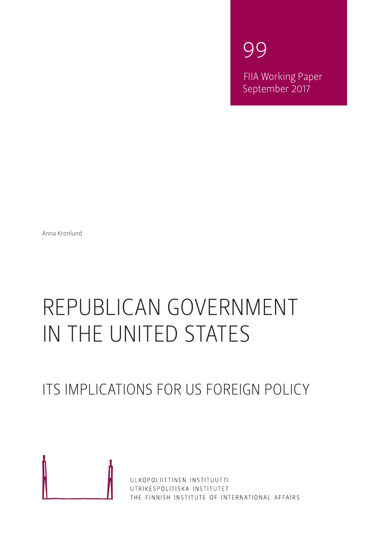99

FIIA Working Paper September 2017

Anna Kronlund

# REPUBLICAN GOVERNMENT IN THE UNITED STATES

# ITS IMPLICATIONS FOR US FOREIGN POLICY



ULKOPOLIITTINEN INSTITUUTTI UTRIKESPOLITISKA INSTITUTET THE FINNISH INSTITUTE OF INTERNATIONAL AFFAIRS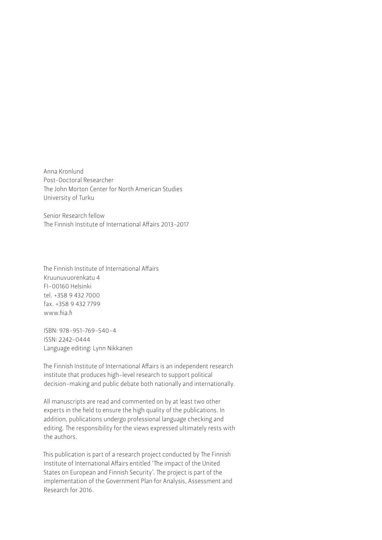Anna Kronlund Post-Doctoral Researcher The John Morton Center for North American Studies University of Turku

Senior Research fellow The Finnish Institute of International Affairs 2013-2017

The Finnish Institute of International Affairs Kruunuvuorenkatu 4 FI-00160 Helsinki tel. +358 9 432 7000 fax. +358 9 432 7799 www.fiia.fi

ISBN: 978-951-769-540-4 ISSN: 2242-0444 Language editing: Lynn Nikkanen

The Finnish Institute of International Affairs is an independent research institute that produces high-level research to support political decision-making and public debate both nationally and internationally.

All manuscripts are read and commented on by at least two other experts in the field to ensure the high quality of the publications. In addition, publications undergo professional language checking and editing. The responsibility for the views expressed ultimately rests with the authors.

This publication is part of a research project conducted by The Finnish Institute of International Affairs entitled 'The impact of the United States on European and Finnish Security'. The project is part of the implementation of the Government Plan for Analysis, Assessment and Research for 2016.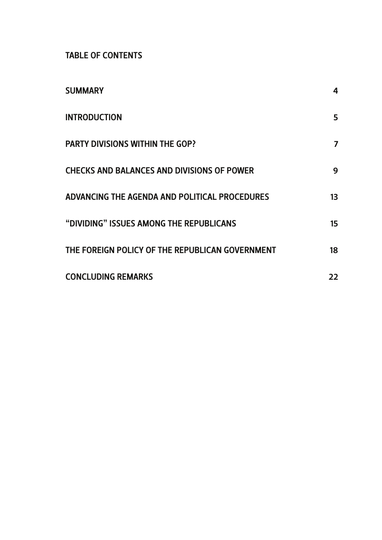TABLE OF CONTENTS

| <b>SUMMARY</b>                                    | 4  |
|---------------------------------------------------|----|
| <b>INTRODUCTION</b>                               | 5  |
| <b>PARTY DIVISIONS WITHIN THE GOP?</b>            | 7  |
| <b>CHECKS AND BALANCES AND DIVISIONS OF POWER</b> | 9  |
| ADVANCING THE AGENDA AND POLITICAL PROCEDURES     | 13 |
| "DIVIDING" ISSUES AMONG THE REPUBLICANS           | 15 |
| THE FOREIGN POLICY OF THE REPUBLICAN GOVERNMENT   | 18 |
| <b>CONCLUDING REMARKS</b>                         | 22 |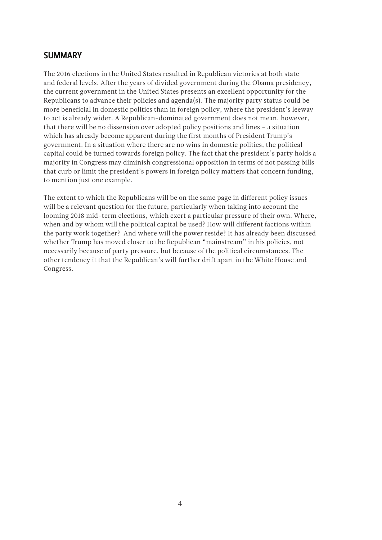#### <span id="page-3-0"></span>SUMMARY

The 2016 elections in the United States resulted in Republican victories at both state and federal levels. After the years of divided government during the Obama presidency, the current government in the United States presents an excellent opportunity for the Republicans to advance their policies and agenda(s). The majority party status could be more beneficial in domestic politics than in foreign policy, where the president's leeway to act is already wider. A Republican-dominated government does not mean, however, that there will be no dissension over adopted policy positions and lines – a situation which has already become apparent during the first months of President Trump's government. In a situation where there are no wins in domestic politics, the political capital could be turned towards foreign policy. The fact that the president's party holds a majority in Congress may diminish congressional opposition in terms of not passing bills that curb or limit the president's powers in foreign policy matters that concern funding, to mention just one example.

The extent to which the Republicans will be on the same page in different policy issues will be a relevant question for the future, particularly when taking into account the looming 2018 mid-term elections, which exert a particular pressure of their own. Where, when and by whom will the political capital be used? How will different factions within the party work together? And where will the power reside? It has already been discussed whether Trump has moved closer to the Republican "mainstream" in his policies, not necessarily because of party pressure, but because of the political circumstances. The other tendency it that the Republican's will further drift apart in the White House and Congress.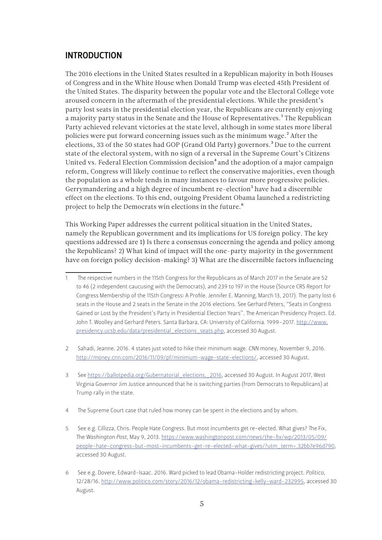#### <span id="page-4-0"></span>INTRODUCTION

The 2016 elections in the United States resulted in a Republican majority in both Houses of Congress and in the White House when Donald Trump was elected 45th President of the United States. The disparity between the popular vote and the Electoral College vote aroused concern in the aftermath of the presidential elections. While the president's party lost seats in the presidential election year, the Republicans are currently enjoying a majority party status in the Senate and the House of Representatives.<sup>1</sup> The Republican Party achieved relevant victories at the state level, although in some states more liberal policies were put forward concerning issues such as the minimum wage.<sup>2</sup> After the elections, 33 of the 50 states had GOP (Grand Old Party) governors.<sup>3</sup> Due to the current state of the electoral system, with no sign of a reversal in the Supreme Court's Citizens United vs. Federal Election Commission decision<sup>4</sup> and the adoption of a major campaign reform, Congress will likely continue to reflect the conservative majorities, even though the population as a whole tends in many instances to favour more progressive policies. Gerrymandering and a high degree of incumbent re-election<sup>5</sup> have had a discernible effect on the elections. To this end, outgoing President Obama launched a redistricting project to help the Democrats win elections in the future.<sup>6</sup>

This Working Paper addresses the current political situation in the United States, namely the Republican government and its implications for US foreign policy. The key questions addressed are 1) Is there a consensus concerning the agenda and policy among the Republicans? 2) What kind of impact will the one-party majority in the government have on foreign policy decision-making? 3) What are the discernible factors influencing

- 2 Sahadi, Jeanne. 2016. 4 states just voted to hike their minimum wage. *CNN* money, November 9, 2016. <http://money.cnn.com/2016/11/09/pf/minimum-wage-state-elections/>, accessed 30 August.
- 3 See [https://ballotpedia.org/Gubernatorial\\_elections,\\_2016](https://ballotpedia.org/Gubernatorial_elections,_2016), accessed 30 August. In August 2017, West Virginia Governor Jim Justice announced that he is switching parties (from Democrats to Republicans) at Trump rally in the state.
- 4 The Supreme Court case that ruled how money can be spent in the elections and by whom.
- 5 See e.g. Cillizza, Chris. People Hate Congress. But most incumbents get re-elected. What gives? The Fix, The *Washington Post*, May 9, 2013. [https://www.washingtonpost.com/news/the-fix/wp/2013/05/09/](https://www.washingtonpost.com/news/the-fix/wp/2013/05/09/people-hate-congress-but-most-incumbents-get-re-elected-what-gives/?utm_term=.32bb7e96d790) [people-hate-congress-but-most-incumbents-get-re-elected-what-gives/?utm\\_term=.32bb7e96d790,](https://www.washingtonpost.com/news/the-fix/wp/2013/05/09/people-hate-congress-but-most-incumbents-get-re-elected-what-gives/?utm_term=.32bb7e96d790) accessed 30 August.
- 6 See e.g. Dovere, Edward-Isaac. 2016. Ward picked to lead Obama-Holder redistricting project. *Politico*, 12/28/16. <http://www.politico.com/story/2016/12/obama-redistricting-kelly-ward-232995>, accessed 30 August.

<sup>1</sup> The respective numbers in the 115th Congress for the Republicans as of March 2017 in the Senate are 52 to 46 (2 independent caucusing with the Democrats), and 239 to 197 in the House (Source CRS Report for Congress Membership of the 115th Congress: A Profile. Jennifer E. Manning, March 13, 2017). The party lost 6 seats in the House and 2 seats in the Senate in the 2016 elections. See Gerhard Peters, "Seats in Congress Gained or Lost by the President's Party in Presidential Election Years". The American Presidency Project. Ed. John T. Woolley and Gerhard Peters. Santa Barbara, CA: University of California. 1999–2017. [http://www.](http://www.presidency.ucsb.edu/data/presidential_elections_seats.php) [presidency.ucsb.edu/data/presidential\\_elections\\_seats.php,](http://www.presidency.ucsb.edu/data/presidential_elections_seats.php) accessed 30 August.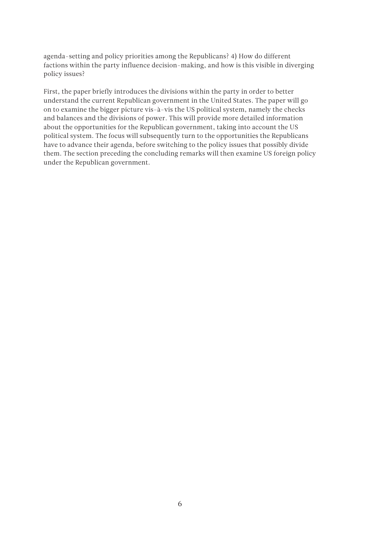agenda-setting and policy priorities among the Republicans? 4) How do different factions within the party influence decision-making, and how is this visible in diverging policy issues?

First, the paper briefly introduces the divisions within the party in order to better understand the current Republican government in the United States. The paper will go on to examine the bigger picture vis-à-vis the US political system, namely the checks and balances and the divisions of power. This will provide more detailed information about the opportunities for the Republican government, taking into account the US political system. The focus will subsequently turn to the opportunities the Republicans have to advance their agenda, before switching to the policy issues that possibly divide them. The section preceding the concluding remarks will then examine US foreign policy under the Republican government.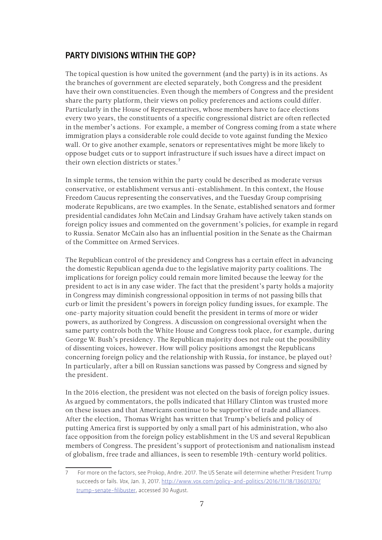# <span id="page-6-0"></span>PARTY DIVISIONS WITHIN THE GOP?

The topical question is how united the government (and the party) is in its actions. As the branches of government are elected separately, both Congress and the president have their own constituencies. Even though the members of Congress and the president share the party platform, their views on policy preferences and actions could differ. Particularly in the House of Representatives, whose members have to face elections every two years, the constituents of a specific congressional district are often reflected in the member's actions. For example, a member of Congress coming from a state where immigration plays a considerable role could decide to vote against funding the Mexico wall. Or to give another example, senators or representatives might be more likely to oppose budget cuts or to support infrastructure if such issues have a direct impact on their own election districts or states.7

In simple terms, the tension within the party could be described as moderate versus conservative, or establishment versus anti-establishment. In this context, the House Freedom Caucus representing the conservatives, and the Tuesday Group comprising moderate Republicans, are two examples. In the Senate, established senators and former presidential candidates John McCain and Lindsay Graham have actively taken stands on foreign policy issues and commented on the government's policies, for example in regard to Russia. Senator McCain also has an influential position in the Senate as the Chairman of the Committee on Armed Services.

The Republican control of the presidency and Congress has a certain effect in advancing the domestic Republican agenda due to the legislative majority party coalitions. The implications for foreign policy could remain more limited because the leeway for the president to act is in any case wider. The fact that the president's party holds a majority in Congress may diminish congressional opposition in terms of not passing bills that curb or limit the president's powers in foreign policy funding issues, for example. The one-party majority situation could benefit the president in terms of more or wider powers, as authorized by Congress. A discussion on congressional oversight when the same party controls both the White House and Congress took place, for example, during George W. Bush's presidency. The Republican majority does not rule out the possibility of dissenting voices, however. How will policy positions amongst the Republicans concerning foreign policy and the relationship with Russia, for instance, be played out? In particularly, after a bill on Russian sanctions was passed by Congress and signed by the president.

In the 2016 election, the president was not elected on the basis of foreign policy issues. As argued by commentators, the polls indicated that Hillary Clinton was trusted more on these issues and that Americans continue to be supportive of trade and alliances. After the election, Thomas Wright has written that Trump's beliefs and policy of putting America first is supported by only a small part of his administration, who also face opposition from the foreign policy establishment in the US and several Republican members of Congress. The president's support of protectionism and nationalism instead of globalism, free trade and alliances, is seen to resemble 19th-century world politics.

<sup>7</sup> For more on the factors, see Prokop, Andre. 2017. The US Senate will determine whether President Trump succeeds or fails. *Vox*, Jan. 3, 2017. [http://www.vox.com/policy-and-politics/2016/11/18/13601370/](http://www.vox.com/policy-and-politics/2016/11/18/13601370/trump-senate-filibuster) [trump-senate-filibuster](http://www.vox.com/policy-and-politics/2016/11/18/13601370/trump-senate-filibuster), accessed 30 August.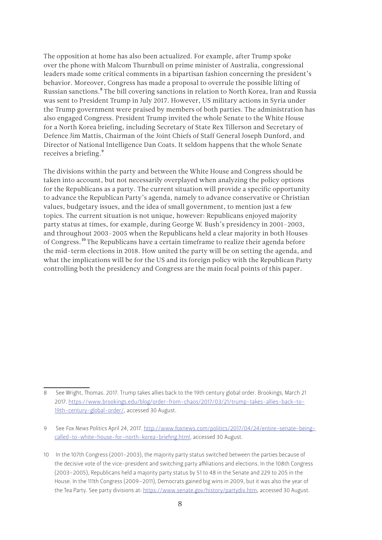The opposition at home has also been actualized. For example, after Trump spoke over the phone with Malcom Thurnbull on prime minister of Australia, congressional leaders made some critical comments in a bipartisan fashion concerning the president's behavior. Moreover, Congress has made a proposal to overrule the possible lifting of Russian sanctions.8 The bill covering sanctions in relation to North Korea, Iran and Russia was sent to President Trump in July 2017. However, US military actions in Syria under the Trump government were praised by members of both parties. The administration has also engaged Congress. President Trump invited the whole Senate to the White House for a North Korea briefing, including Secretary of State Rex Tillerson and Secretary of Defence Jim Mattis, Chairman of the Joint Chiefs of Staff General Joseph Dunford, and Director of National Intelligence Dan Coats. It seldom happens that the whole Senate receives a briefing.<sup>9</sup>

The divisions within the party and between the White House and Congress should be taken into account, but not necessarily overplayed when analyzing the policy options for the Republicans as a party. The current situation will provide a specific opportunity to advance the Republican Party's agenda, namely to advance conservative or Christian values, budgetary issues, and the idea of small government, to mention just a few topics. The current situation is not unique, however: Republicans enjoyed majority party status at times, for example, during George W. Bush's presidency in 2001–2003, and throughout 2003–2005 when the Republicans held a clear majority in both Houses of Congress.10 The Republicans have a certain timeframe to realize their agenda before the mid-term elections in 2018. How united the party will be on setting the agenda, and what the implications will be for the US and its foreign policy with the Republican Party controlling both the presidency and Congress are the main focal points of this paper.

<sup>8</sup> See Wright, Thomas. 2017. Trump takes allies back to the 19th century global order. Brookings, March 21 2017. [https://www.brookings.edu/blog/order-from-chaos/2017/03/21/trump-takes-allies-back-to-](https://www.brookings.edu/blog/order-from-chaos/2017/03/21/trump-takes-allies-back-to-19th-century-global-order/)[19th-century-global-order/,](https://www.brookings.edu/blog/order-from-chaos/2017/03/21/trump-takes-allies-back-to-19th-century-global-order/) accessed 30 August.

<sup>9</sup> See *Fox News* Politics April 24, 2017. [http://www.foxnews.com/politics/2017/04/24/entire-senate-being](http://www.foxnews.com/politics/2017/04/24/entire-senate-being-called-to-white-house-for-north-korea-briefing.html)[called-to-white-house-for-north-korea-briefing.html](http://www.foxnews.com/politics/2017/04/24/entire-senate-being-called-to-white-house-for-north-korea-briefing.html), accessed 30 August.

<sup>10</sup> In the 107th Congress (2001–2003), the majority party status switched between the parties because of the decisive vote of the vice-president and switching party affiliations and elections. In the 108th Congress (2003–2005), Republicans held a majority party status by 51 to 48 in the Senate and 229 to 205 in the House. In the 111th Congress (2009–2011), Democrats gained big wins in 2009, but it was also the year of the Tea Party. See party divisions at: https://www.senate.gov/history/partydiv.htm, accessed 30 August.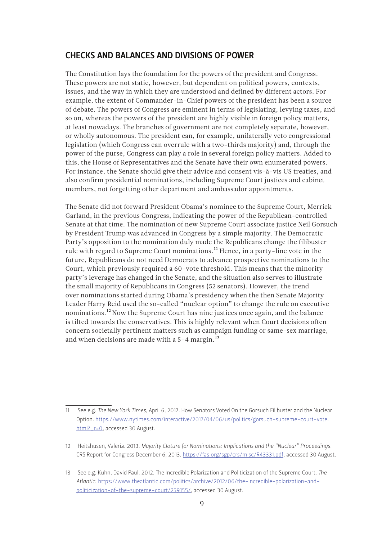#### <span id="page-8-0"></span>CHECKS AND BALANCES AND DIVISIONS OF POWER

The Constitution lays the foundation for the powers of the president and Congress. These powers are not static, however, but dependent on political powers, contexts, issues, and the way in which they are understood and defined by different actors. For example, the extent of Commander-in-Chief powers of the president has been a source of debate. The powers of Congress are eminent in terms of legislating, levying taxes, and so on, whereas the powers of the president are highly visible in foreign policy matters, at least nowadays. The branches of government are not completely separate, however, or wholly autonomous. The president can, for example, unilaterally veto congressional legislation (which Congress can overrule with a two-thirds majority) and, through the power of the purse, Congress can play a role in several foreign policy matters. Added to this, the House of Representatives and the Senate have their own enumerated powers. For instance, the Senate should give their advice and consent vis-à-vis US treaties, and also confirm presidential nominations, including Supreme Court justices and cabinet members, not forgetting other department and ambassador appointments.

The Senate did not forward President Obama's nominee to the Supreme Court, Merrick Garland, in the previous Congress, indicating the power of the Republican-controlled Senate at that time. The nomination of new Supreme Court associate justice Neil Gorsuch by President Trump was advanced in Congress by a simple majority. The Democratic Party's opposition to the nomination duly made the Republicans change the filibuster rule with regard to Supreme Court nominations.<sup>11</sup> Hence, in a party-line vote in the future, Republicans do not need Democrats to advance prospective nominations to the Court, which previously required a 60-vote threshold. This means that the minority party's leverage has changed in the Senate, and the situation also serves to illustrate the small majority of Republicans in Congress (52 senators). However, the trend over nominations started during Obama's presidency when the then Senate Majority Leader Harry Reid used the so-called "nuclear option" to change the rule on executive nominations.<sup>12</sup> Now the Supreme Court has nine justices once again, and the balance is tilted towards the conservatives. This is highly relevant when Court decisions often concern societally pertinent matters such as campaign funding or same-sex marriage, and when decisions are made with a  $5-4$  margin.<sup>13</sup>

<sup>11</sup> See e.g. *The New York Times*, April 6, 2017. How Senators Voted On the Gorsuch Filibuster and the Nuclear Option. [https://www.nytimes.com/interactive/2017/04/06/us/politics/gorsuch-supreme-court-vote.](https://www.nytimes.com/interactive/2017/04/06/us/politics/gorsuch-supreme-court-vote.html?_r=0) html? r=0, accessed 30 August.

<sup>12</sup> Heitshusen, Valeria. 2013. *Majority Cloture for Nominations: Implications and the "Nuclear" Proceedings*. CRS Report for Congress December 6, 2013. [https://fas.org/sgp/crs/misc/R43331.pd](https://fas.org/sgp/crs/misc/R43331.pdf)f, accessed 30 August.

<sup>13</sup> See e.g. Kuhn, David Paul. 2012. The Incredible Polarization and Politicization of the Supreme Court. *The Atlantic*. [https://www.theatlantic.com/politics/archive/2012/06/the-incredible-polarization-and](https://www.theatlantic.com/politics/archive/2012/06/the-incredible-polarization-and-politicization-of-the-supreme-court/259155/)[politicization-of-the-supreme-court/259155/](https://www.theatlantic.com/politics/archive/2012/06/the-incredible-polarization-and-politicization-of-the-supreme-court/259155/), accessed 30 August.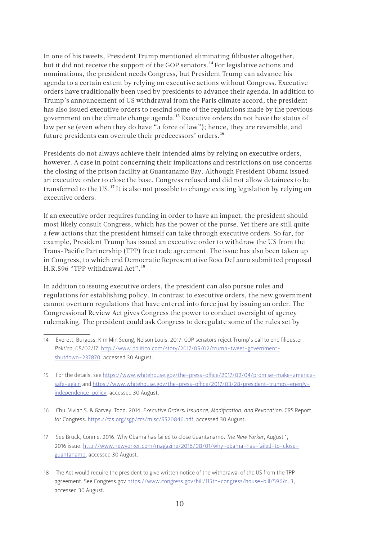In one of his tweets, President Trump mentioned eliminating filibuster altogether, but it did not receive the support of the GOP senators.<sup>14</sup> For legislative actions and nominations, the president needs Congress, but President Trump can advance his agenda to a certain extent by relying on executive actions without Congress. Executive orders have traditionally been used by presidents to advance their agenda. In addition to Trump's announcement of US withdrawal from the Paris climate accord, the president has also issued executive orders to rescind some of the regulations made by the previous government on the climate change agenda.15 Executive orders do not have the status of law per se (even when they do have "a force of law"); hence, they are reversible, and future presidents can overrule their predecessors' orders.16

Presidents do not always achieve their intended aims by relying on executive orders, however. A case in point concerning their implications and restrictions on use concerns the closing of the prison facility at Guantanamo Bay. Although President Obama issued an executive order to close the base, Congress refused and did not allow detainees to be transferred to the US.<sup>17</sup> It is also not possible to change existing legislation by relying on executive orders.

If an executive order requires funding in order to have an impact, the president should most likely consult Congress, which has the power of the purse. Yet there are still quite a few actions that the president himself can take through executive orders. So far, for example, President Trump has issued an executive order to withdraw the US from the Trans-Pacific Partnership (TPP) free trade agreement. The issue has also been taken up in Congress, to which end Democratic Representative Rosa DeLauro submitted proposal H.R.596 "TPP withdrawal Act".18

In addition to issuing executive orders, the president can also pursue rules and regulations for establishing policy. In contrast to executive orders, the new government cannot overturn regulations that have entered into force just by issuing an order. The Congressional Review Act gives Congress the power to conduct oversight of agency rulemaking. The president could ask Congress to deregulate some of the rules set by

<sup>14</sup> Everett, Burgess, Kim Min Seung, Nelson Louis. 2017. GOP senators reject Trump's call to end filibuster. *Politico*, 05/02/17. [http://www.politico.com/story/2017/05/02/trump-tweet-government](http://www.politico.com/story/2017/05/02/trump-tweet-government-shutdown-237870)[shutdown-237870](http://www.politico.com/story/2017/05/02/trump-tweet-government-shutdown-237870), accessed 30 August.

<sup>15</sup> For the details, see [https://www.whitehouse.gov/the-press-office/2017/02/04/promise-make-america](https://www.whitehouse.gov/the-press-office/2017/02/04/promise-make-america-safe-again)[safe-again](https://www.whitehouse.gov/the-press-office/2017/02/04/promise-make-america-safe-again) and [https://www.whitehouse.gov/the-press-office/2017/03/28/president-trumps-energy](https://www.whitehouse.gov/the-press-office/2017/03/28/president-trumps-energy-independence-policy)[independence-policy,](https://www.whitehouse.gov/the-press-office/2017/03/28/president-trumps-energy-independence-policy) accessed 30 August.

<sup>16</sup> Chu, Vivian S. & Garvey, Todd. 2014. *Executive Orders: Issuance, Modification, and Revocation*. CRS Report for Congress. <https://fas.org/sgp/crs/misc/RS20846.pdf>, accessed 30 August.

<sup>17</sup> See Bruck, Connie. 2016. Why Obama has failed to close Guantanamo. *The New Yorker*, August 1, 2016 issue. [http://www.newyorker.com/magazine/2016/08/01/why-obama-has-failed-to-close](http://www.newyorker.com/magazine/2016/08/01/why-obama-has-failed-to-close-guantanamo)[guantanamo](http://www.newyorker.com/magazine/2016/08/01/why-obama-has-failed-to-close-guantanamo), accessed 30 August.

<sup>18</sup> The Act would require the president to give written notice of the withdrawal of the US from the TPP agreement. See Congress.gov [https://www.congress.gov/bill/115th-congress/house-bill/596?r=3,](https://www.congress.gov/bill/115th-congress/house-bill/596?r=3) accessed 30 August.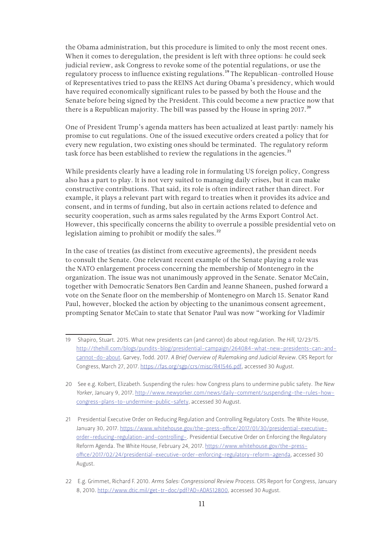the Obama administration, but this procedure is limited to only the most recent ones. When it comes to deregulation, the president is left with three options: he could seek judicial review, ask Congress to revoke some of the potential regulations, or use the regulatory process to influence existing regulations.<sup>19</sup> The Republican-controlled House of Representatives tried to pass the REINS Act during Obama's presidency, which would have required economically significant rules to be passed by both the House and the Senate before being signed by the President. This could become a new practice now that there is a Republican majority. The bill was passed by the House in spring 2017.<sup>20</sup>

One of President Trump's agenda matters has been actualized at least partly: namely his promise to cut regulations. One of the issued executive orders created a policy that for every new regulation, two existing ones should be terminated. The regulatory reform task force has been established to review the regulations in the agencies.<sup>21</sup>

While presidents clearly have a leading role in formulating US foreign policy, Congress also has a part to play. It is not very suited to managing daily crises, but it can make constructive contributions. That said, its role is often indirect rather than direct. For example, it plays a relevant part with regard to treaties when it provides its advice and consent, and in terms of funding, but also in certain actions related to defence and security cooperation, such as arms sales regulated by the Arms Export Control Act. However, this specifically concerns the ability to overrule a possible presidential veto on legislation aiming to prohibit or modify the sales. $^{22}$ 

In the case of treaties (as distinct from executive agreements), the president needs to consult the Senate. One relevant recent example of the Senate playing a role was the NATO enlargement process concerning the membership of Montenegro in the organization. The issue was not unanimously approved in the Senate. Senator McCain, together with Democratic Senators Ben Cardin and Jeanne Shaneen, pushed forward a vote on the Senate floor on the membership of Montenegro on March 15. Senator Rand Paul, however, blocked the action by objecting to the unanimous consent agreement, prompting Senator McCain to state that Senator Paul was now "working for Vladimir

<sup>19</sup> Shapiro, Stuart. 2015. What new presidents can (and cannot) do about regulation. *The Hill*, 12/23/15. [http://thehill.com/blogs/pundits-blog/presidential-campaign/264084-what-new-presidents-can-and](http://thehill.com/blogs/pundits-blog/presidential-campaign/264084-what-new-presidents-can-and-cannot-do-about)[cannot-do-about](http://thehill.com/blogs/pundits-blog/presidential-campaign/264084-what-new-presidents-can-and-cannot-do-about). Garvey, Todd. 2017. *A Brief Overview of Rulemaking and Judicial Review*. CRS Report for Congress, March 27, 2017. https://fas.org/sgp/crs/misc/R41546.pdf, accessed 30 August.

<sup>20</sup> See e.g. Kolbert, Elizabeth. Suspending the rules: how Congress plans to undermine public safety. *The New Yorker*, January 9, 2017. [http://www.newyorker.com/news/daily-comment/suspending-the-rules-how](http://www.newyorker.com/news/daily-comment/suspending-the-rules-how-congress-plans-to-undermine-public-safety)[congress-plans-to-undermine-public-safety,](http://www.newyorker.com/news/daily-comment/suspending-the-rules-how-congress-plans-to-undermine-public-safety) accessed 30 August.

<sup>21</sup> Presidential Executive Order on Reducing Regulation and Controlling Regulatory Costs. The White House, January 30, 2017. [https://www.whitehouse.gov/the-press-office/2017/01/30/presidential-executive](https://www.whitehouse.gov/the-press-office/2017/01/30/presidential-executive-order-reducing-regulation-and-controlling-)[order-reducing-regulation-and-controlling-](https://www.whitehouse.gov/the-press-office/2017/01/30/presidential-executive-order-reducing-regulation-and-controlling-). Presidential Executive Order on Enforcing the Regulatory Reform Agenda. The White House, February 24, 2017. [https://www.whitehouse.gov/the-press](https://www.whitehouse.gov/the-press-office/2017/02/24/presidential-executive-order-enforcing-regulatory-reform-agenda)[office/2017/02/24/presidential-executive-order-enforcing-regulatory-reform-agenda,](https://www.whitehouse.gov/the-press-office/2017/02/24/presidential-executive-order-enforcing-regulatory-reform-agenda) accessed 30 August.

<sup>22</sup> E.g. Grimmet, Richard F. 2010. *Arms Sales: Congressional Review Process*. CRS Report for Congress, January 8, 2010.<http://www.dtic.mil/get-tr-doc/pdf?AD=ADA512800>, accessed 30 August.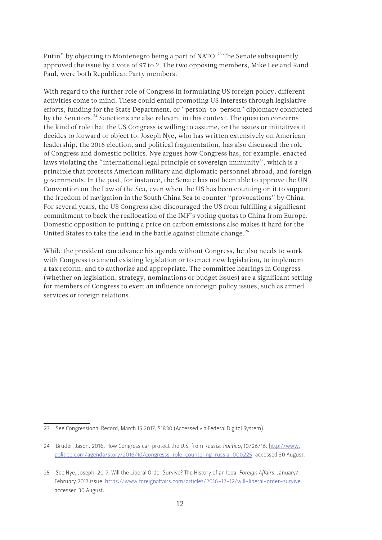Putin" by objecting to Montenegro being a part of NATO.<sup>23</sup> The Senate subsequently approved the issue by a vote of 97 to 2. The two opposing members, Mike Lee and Rand Paul, were both Republican Party members.

With regard to the further role of Congress in formulating US foreign policy, different activities come to mind. These could entail promoting US interests through legislative efforts, funding for the State Department, or "person-to-person" diplomacy conducted by the Senators.<sup>24</sup> Sanctions are also relevant in this context. The question concerns the kind of role that the US Congress is willing to assume, or the issues or initiatives it decides to forward or object to. Joseph Nye, who has written extensively on American leadership, the 2016 election, and political fragmentation, has also discussed the role of Congress and domestic politics. Nye argues how Congress has, for example, enacted laws violating the "international legal principle of sovereign immunity", which is a principle that protects American military and diplomatic personnel abroad, and foreign governments. In the past, for instance, the Senate has not been able to approve the UN Convention on the Law of the Sea, even when the US has been counting on it to support the freedom of navigation in the South China Sea to counter "provocations" by China. For several years, the US Congress also discouraged the US from fulfilling a significant commitment to back the reallocation of the IMF's voting quotas to China from Europe. Domestic opposition to putting a price on carbon emissions also makes it hard for the United States to take the lead in the battle against climate change.<sup>25</sup>

While the president can advance his agenda without Congress, he also needs to work with Congress to amend existing legislation or to enact new legislation, to implement a tax reform, and to authorize and appropriate. The committee hearings in Congress (whether on legislation, strategy, nominations or budget issues) are a significant setting for members of Congress to exert an influence on foreign policy issues, such as armed services or foreign relations.

<sup>23</sup> See Congressional Record, March 15 2017, S1830 (Accessed via Federal Digital System).

<sup>24</sup> Bruder, Jason. 2016. How Congress can protect the U.S. from Russia. *Politico*, 10/26/16. [http://www.](http://www.politico.com/agenda/story/2016/10/congresss-role-countering-russia-000225) [politico.com/agenda/story/2016/10/congresss-role-countering-russia-000225](http://www.politico.com/agenda/story/2016/10/congresss-role-countering-russia-000225), accessed 30 August.

<sup>25</sup> See Nye, Joseph. 2017. Will the Liberal Order Survive? The History of an Idea. *Foreign Affairs*. January/ February 2017 issue. <https://www.foreignaffairs.com/articles/2016-12-12/will-liberal-order-survive>, accessed 30 August.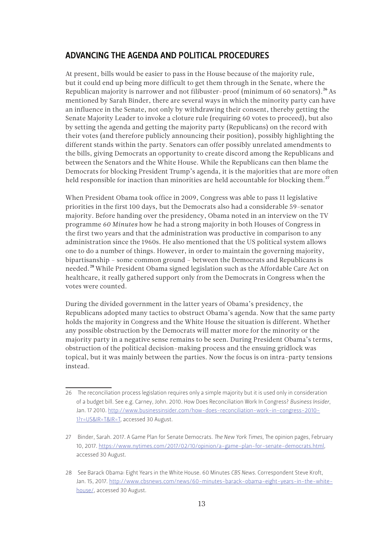#### <span id="page-12-0"></span>ADVANCING THE AGENDA AND POLITICAL PROCEDURES

At present, bills would be easier to pass in the House because of the majority rule, but it could end up being more difficult to get them through in the Senate, where the Republican majority is narrower and not filibuster-proof (minimum of 60 senators).<sup>26</sup> As mentioned by Sarah Binder, there are several ways in which the minority party can have an influence in the Senate, not only by withdrawing their consent, thereby getting the Senate Majority Leader to invoke a cloture rule (requiring 60 votes to proceed), but also by setting the agenda and getting the majority party (Republicans) on the record with their votes (and therefore publicly announcing their position), possibly highlighting the different stands within the party. Senators can offer possibly unrelated amendments to the bills, giving Democrats an opportunity to create discord among the Republicans and between the Senators and the White House. While the Republicans can then blame the Democrats for blocking President Trump's agenda, it is the majorities that are more often held responsible for inaction than minorities are held accountable for blocking them.<sup>27</sup>

When President Obama took office in 2009, Congress was able to pass 11 legislative priorities in the first 100 days, but the Democrats also had a considerable 59-senator majority. Before handing over the presidency, Obama noted in an interview on the TV programme *60 Minutes* how he had a strong majority in both Houses of Congress in the first two years and that the administration was productive in comparison to any administration since the 1960s. He also mentioned that the US political system allows one to do a number of things. However, in order to maintain the governing majority, bipartisanship – some common ground – between the Democrats and Republicans is needed.28 While President Obama signed legislation such as the Affordable Care Act on healthcare, it really gathered support only from the Democrats in Congress when the votes were counted.

During the divided government in the latter years of Obama's presidency, the Republicans adopted many tactics to obstruct Obama's agenda. Now that the same party holds the majority in Congress and the White House the situation is different. Whether any possible obstruction by the Democrats will matter more for the minority or the majority party in a negative sense remains to be seen. During President Obama's terms, obstruction of the political decision-making process and the ensuing gridlock was topical, but it was mainly between the parties. Now the focus is on intra-party tensions instead.

<sup>26</sup> The reconciliation process legislation requires only a simple majority but it is used only in consideration of a budget bill. See e.g. Carney, John. 2010. How Does Reconciliation Work In Congress? *Business Insider*, Jan. 17 2010. [http://www.businessinsider.com/how-does-reconciliation-work-in-congress-2010-](http://www.businessinsider.com/how-does-reconciliation-work-in-congress-2010-1?r=US&IR=T&IR=T) [1?r=US&IR=T&IR=T](http://www.businessinsider.com/how-does-reconciliation-work-in-congress-2010-1?r=US&IR=T&IR=T), accessed 30 August.

<sup>27</sup> Binder, Sarah. 2017. A Game Plan for Senate Democrats. *The New York Times*, The opinion pages, February 10, 2017. <https://www.nytimes.com/2017/02/10/opinion/a-game-plan-for-senate-democrats.html>, accessed 30 August.

<sup>28</sup> See Barack Obama: Eight Years in the White House. 60 Minutes *CBS News*. Correspondent Steve Kroft, Jan. 15, 2017. [http://www.cbsnews.com/news/60-minutes-barack-obama-eight-years-in-the-white](http://www.cbsnews.com/news/60-minutes-barack-obama-eight-years-in-the-white-house/)[house/](http://www.cbsnews.com/news/60-minutes-barack-obama-eight-years-in-the-white-house/), accessed 30 August.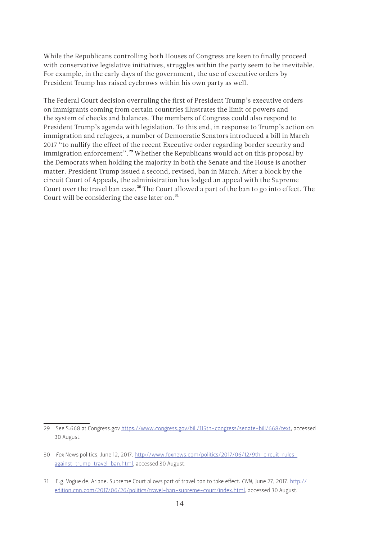While the Republicans controlling both Houses of Congress are keen to finally proceed with conservative legislative initiatives, struggles within the party seem to be inevitable. For example, in the early days of the government, the use of executive orders by President Trump has raised eyebrows within his own party as well.

The Federal Court decision overruling the first of President Trump's executive orders on immigrants coming from certain countries illustrates the limit of powers and the system of checks and balances. The members of Congress could also respond to President Trump's agenda with legislation. To this end, in response to Trump's action on immigration and refugees, a number of Democratic Senators introduced a bill in March 2017 "to nullify the effect of the recent Executive order regarding border security and immigration enforcement".<sup>29</sup> Whether the Republicans would act on this proposal by the Democrats when holding the majority in both the Senate and the House is another matter. President Trump issued a second, revised, ban in March. After a block by the circuit Court of Appeals, the administration has lodged an appeal with the Supreme Court over the travel ban case.<sup>30</sup> The Court allowed a part of the ban to go into effect. The Court will be considering the case later on.<sup>31</sup>

<sup>29</sup> See S.668 at Congress.gov<https://www.congress.gov/bill/115th-congress/senate-bill/668/text>, accessed 30 August.

<sup>30</sup> *Fox* News politics, June 12, 2017. [http://www.foxnews.com/politics/2017/06/12/9th-circuit-rules](http://www.foxnews.com/politics/2017/06/12/9th-circuit-rules-against-trump-travel-ban.html)[against-trump-travel-ban.html](http://www.foxnews.com/politics/2017/06/12/9th-circuit-rules-against-trump-travel-ban.html), accessed 30 August.

<sup>31</sup> E.g. Vogue de, Ariane. Supreme Court allows part of travel ban to take effect. *CNN*, June 27, 2017. http:// edition.cnn.com/2017/06/26/politics/travel-ban-supreme-court/index.html, accessed 30 August.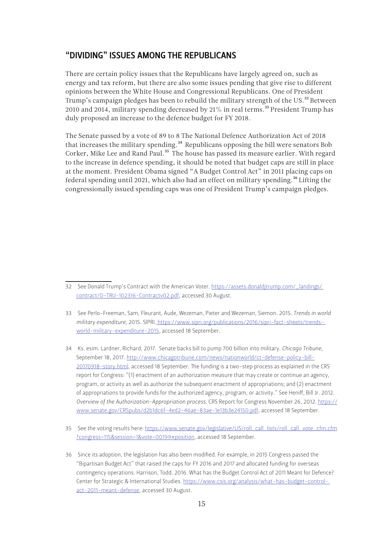#### <span id="page-14-0"></span>"DIVIDING" ISSUES AMONG THE REPUBLICANS

There are certain policy issues that the Republicans have largely agreed on, such as energy and tax reform, but there are also some issues pending that give rise to different opinions between the White House and Congressional Republicans. One of President Trump's campaign pledges has been to rebuild the military strength of the US.<sup>32</sup> Between 2010 and 2014, military spending decreased by  $21\%$  in real terms.<sup>33</sup> President Trump has duly proposed an increase to the defence budget for FY 2018.

The Senate passed by a vote of 89 to 8 The National Defence Authorization Act of 2018 that increases the military spending.<sup>34</sup> Republicans opposing the bill were senators Bob Corker, Mike Lee and Rand Paul.<sup>35</sup> The house has passed its measure earlier. With regard to the increase in defence spending, it should be noted that budget caps are still in place at the moment. President Obama signed "A Budget Control Act" in 2011 placing caps on federal spending until 2021, which also had an effect on military spending.<sup>36</sup> Lifting the congressionally issued spending caps was one of President Trump's campaign pledges.

<sup>32</sup> See Donald Trump's Contract with the American Voter. https://assets.donaldjtrump.com/\_landings/ contract/O-TRU-102316-Contractv02.pdf, accessed 30 August.

<sup>33</sup> See Perlo-Freeman, Sam, Fleurant, Aude, Wezeman, Pieter and Wezeman, Siemon. 2015. *Trends in world military expenditure*, 2015. SIPRI. https://www.sipri.org/publications/2016/sipri-fact-sheets/trendsworld-military-expenditure-2015, accessed 18 September.

<sup>34</sup> Ks. esim. Lardner, Richard. 2017. Senate backs bill to pump 700 billion into military. *Chicago Tribune*, September 18, 2017. [http://www.chicagotribune.com/news/nationworld/ct-defense-policy-bill-](http://www.chicagotribune.com/news/nationworld/ct-defense-policy-bill-20170918-story.html)[20170918-story.html](http://www.chicagotribune.com/news/nationworld/ct-defense-policy-bill-20170918-story.html), accessed 18 September. The funding is a two-step process as explained in the CRS report for Congress: "(1) enactment of an authorization measure that may create or continue an agency, program, or activity as well as authorize the subsequent enactment of appropriations; and (2) enactment of appropriations to provide funds for the authorized agency, program, or activity." See Heniff, Bill Jr. 2012. *Overview of the Authorization-Appropriation process*. CRS Report for Congress November 26, 2012. [https://](https://www.senate.gov/CRSpubs/d2b1dc6f-4ed2-46ae-83ae-1e13b3e24150.pdf) [www.senate.gov/CRSpubs/d2b1dc6f-4ed2-46ae-83ae-1e13b3e24150.pdf,](https://www.senate.gov/CRSpubs/d2b1dc6f-4ed2-46ae-83ae-1e13b3e24150.pdf) accessed 18 September.

<sup>35</sup> See the voting results here: [https://www.senate.gov/legislative/LIS/roll\\_call\\_lists/roll\\_call\\_vote\\_cfm.cfm](https://www.senate.gov/legislative/LIS/roll_call_lists/roll_call_vote_cfm.cfm?congress=115&session=1&vote=00199#position) [?congress=115&session=1&vote=00199#position](https://www.senate.gov/legislative/LIS/roll_call_lists/roll_call_vote_cfm.cfm?congress=115&session=1&vote=00199#position), accessed 18 September.

<sup>36</sup> Since its adoption, the legislation has also been modified. For example, in 2015 Congress passed the "Bipartisan Budget Act" that raised the caps for FY 2016 and 2017 and allocated funding for overseas contingency operations. Harrison, Todd. 2016. What has the Budget Control Act of 2011 Meant for Defence? Center for Strategic & International Studies. https://www.csis.org/analysis/what-has-budget-controlact-2011-meant-defense, accessed 30 August.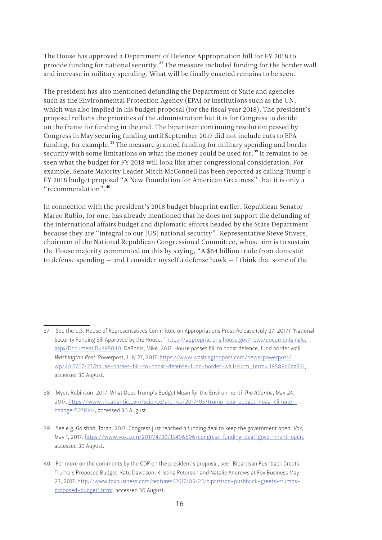The House has approved a Department of Defence Appropriation bill for FY 2018 to provide funding for national security.<sup>37</sup> The measure included funding for the border wall and increase in military spending. What will be finally enacted remains to be seen.

The president has also mentioned defunding the Department of State and agencies such as the Environmental Protection Agency (EPA) or institutions such as the UN, which was also implied in his budget proposal (for the fiscal year 2018). The president's proposal reflects the priorities of the administration but it is for Congress to decide on the frame for funding in the end. The bipartisan continuing resolution passed by Congress in May securing funding until September 2017 did not include cuts to EPA funding, for example.<sup>38</sup> The measure granted funding for military spending and border security with some limitations on what the money could be used for.<sup>39</sup> It remains to be seen what the budget for FY 2018 will look like after congressional consideration. For example, Senate Majority Leader Mitch McConnell has been reported as calling Trump's FY 2018 budget proposal "A New Foundation for American Greatness" that it is only a "recommendation".40

In connection with the president's 2018 budget blueprint earlier, Republican Senator Marco Rubio, for one, has already mentioned that he does not support the defunding of the international affairs budget and diplomatic efforts headed by the State Department because they are "integral to our [US] national security". Representative Steve Stivers, chairman of the National Republican Congressional Committee, whose aim is to sustain the House majority commented on this by saying, "A \$54 billion trade from domestic to defense spending — and I consider myself a defense hawk — I think that some of the

<sup>37</sup> See the U.S. House of Representatives Committee on Appropriations Press Release (July 27, 2017) "National Security Funding Bill Approved by the House." https://appropriations.house.gov/news/documentsingle. aspx?DocumentID=395040. DeBonis, Mike. 2017. House passes bill to boost defence, fund border wall. *Washington Post*, Powerpost, July 27, 2017. https://www.washingtonpost.com/news/powerpost/ wp/2017/07/27/house-passes-bill-to-boost-defense-fund-border-wall/?utm\_term=.18588c6aa531, accessed 30 August.

<sup>38</sup> Myer, Robinson. 2017. What Does Trump's Budget Mean for the Environment? *The Atlantic*, May 24, 2017. https://www.theatlantic.com/science/archive/2017/05/trump-epa-budget-noaa-climatechange/527814/, accessed 30 August.

<sup>39</sup> See e.g. Golshan, Taran. 2017. Congress just reached a funding deal to keep the government open. *Vox*, May 1, 2017. https://www.vox.com/2017/4/30/15496696/congress-funding-deal-government-open, accessed 30 August.

<sup>40</sup> For more on the comments by the GOP on the president's proposal, see "Bipartisan Pushback Greets Trump's Proposed Budget, Kate Davidson, Kristina Peterson and Natalie Andrews at Fox Business May 23, 2017. http://www.foxbusiness.com/features/2017/05/23/bipartisan-pushback-greets-trumpsproposed-budget1.html, accessed 30 August.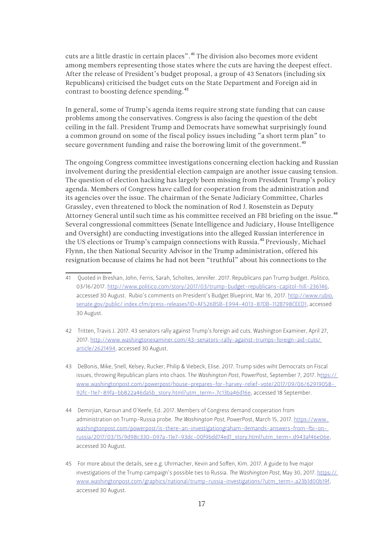cuts are a little drastic in certain places".41 The division also becomes more evident among members representing those states where the cuts are having the deepest effect. After the release of President's budget proposal, a group of 43 Senators (including six Republicans) criticised the budget cuts on the State Department and Foreign aid in contrast to boosting defence spending.<sup>42</sup>

In general, some of Trump's agenda items require strong state funding that can cause problems among the conservatives. Congress is also facing the question of the debt ceiling in the fall. President Trump and Democrats have somewhat surprisingly found a common ground on some of the fiscal policy issues including "a short term plan" to secure government funding and raise the borrowing limit of the government.<sup>43</sup>

The ongoing Congress committee investigations concerning election hacking and Russian involvement during the presidential election campaign are another issue causing tension. The question of election hacking has largely been missing from President Trump's policy agenda. Members of Congress have called for cooperation from the administration and its agencies over the issue. The chairman of the Senate Judiciary Committee, Charles Grassley, even threatened to block the nomination of Rod J. Rosenstein as Deputy Attorney General until such time as his committee received an FBI briefing on the issue.<sup>44</sup> Several congressional committees (Senate Intelligence and Judiciary, House Intelligence and Oversight) are conducting investigations into the alleged Russian interference in the US elections or Trump's campaign connections with Russia.<sup>45</sup> Previously, Michael Flynn, the then National Security Advisor in the Trump administration, offered his resignation because of claims he had not been "truthful" about his connections to the

- 42 Tritten, Travis J. 2017. 43 senators rally against Trump's foreign aid cuts. Washington Examiner, April 27, 2017. http://www.washingtonexaminer.com/43-senators-rally-against-trumps-foreign-aid-cuts/ article/2621494, accessed 30 August.
- 43 DeBonis, Mike, Snell, Kelsey, Rucker, Philip & Viebeck, Elise. 2017. Trump sides wiht Democrats on Fiscal issues, throwing Republican plans into chaos. T*he Washington Post*, PowerPost, September 7, 2017. https:// www.washingtonpost.com/powerpost/house-prepares-for-harvey-relief-vote/2017/09/06/62919058- 92fc-11e7-89fa-bb822a46da5b\_story.html?utm\_term=.7c13ba46d16e, accessed 18 September.
- 44 Demirjian, Karoun and O'Keefe, Ed. 2017. Members of Congress demand cooperation from administration on Trump-Russia probe. *The Washington Post*, PowerPost, March 15, 2017. https://www. washingtonpost.com/powerpost/is-there-an-investigationgraham-demands-answers-from-fbi-onrussia/2017/03/15/9d98c330-097a-11e7-93dc-00f9bdd74ed1\_story.html?utm\_term=.d943af46e06e, accessed 30 August.
- 45 For more about the details, see e.g. Uhrmacher, Kevin and Soffen, Kim. 2017. A guide to five major investigations of the Trump campaign's possible ties to Russia. *The Washington Post,* May 30, 2017. https:// www.washingtonpost.com/graphics/national/trump-russia-investigations/?utm\_term=.a23b1d00b19f, accessed 30 August.

<sup>41</sup> Quoted in Breshan, John, Ferris, Sarah, Scholtes, Jennifer. 2017. Republicans pan Trump budget. *Politico*, 03/16/2017. http://www.politico.com/story/2017/03/trump-budget-republicans-capitol-hill-236146, accessed 30 August. Rubio's comments on President's Budget Blueprint, Mar 16, 2017. http://www.rubio. senate.gov/public/ index.cfm/press-releases?ID=AF526B5B-E994-4013-87DB-112B798CEED1, accessed 30 August.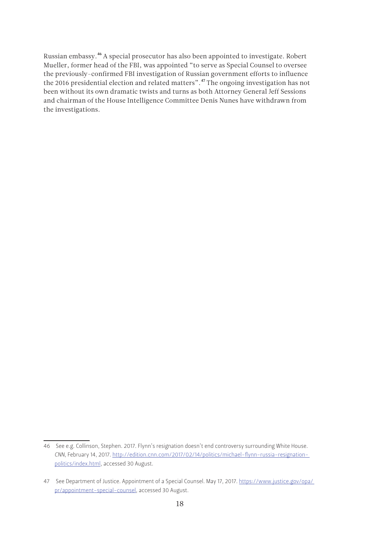<span id="page-17-0"></span>Russian embassy.46 A special prosecutor has also been appointed to investigate. Robert Mueller, former head of the FBI, was appointed "to serve as Special Counsel to oversee the previously-confirmed FBI investigation of Russian government efforts to influence the 2016 presidential election and related matters".47 The ongoing investigation has not been without its own dramatic twists and turns as both Attorney General Jeff Sessions and chairman of the House Intelligence Committee Denis Nunes have withdrawn from the investigations.

<sup>46</sup> See e.g. Collinson, Stephen. 2017. Flynn's resignation doesn't end controversy surrounding White House. *CNN*, February 14, 2017. http://edition.cnn.com/2017/02/14/politics/michael-flynn-russia-resignationpolitics/index.html, accessed 30 August.

<sup>47</sup> See Department of Justice. Appointment of a Special Counsel. May 17, 2017. https://www.justice.gov/opa/ pr/appointment-special-counsel, accessed 30 August.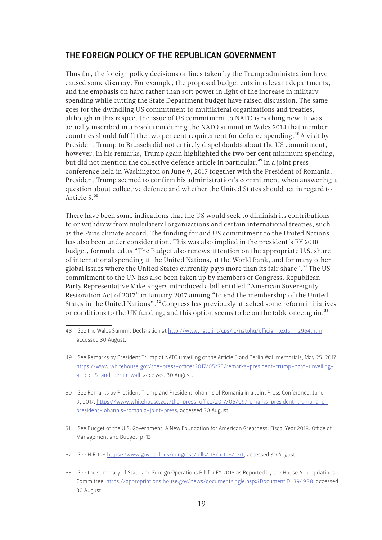### THE FOREIGN POLICY OF THE REPUBLICAN GOVERNMENT

Thus far, the foreign policy decisions or lines taken by the Trump administration have caused some disarray. For example, the proposed budget cuts in relevant departments, and the emphasis on hard rather than soft power in light of the increase in military spending while cutting the State Department budget have raised discussion. The same goes for the dwindling US commitment to multilateral organizations and treaties, although in this respect the issue of US commitment to NATO is nothing new. It was actually inscribed in a resolution during the NATO summit in Wales 2014 that member countries should fulfill the two per cent requirement for defence spending.<sup>48</sup> A visit by President Trump to Brussels did not entirely dispel doubts about the US commitment, however. In his remarks, Trump again highlighted the two per cent minimum spending, but did not mention the collective defence article in particular.<sup>49</sup> In a joint press conference held in Washington on June 9, 2017 together with the President of Romania, President Trump seemed to confirm his administration's commitment when answering a question about collective defence and whether the United States should act in regard to Article 5.<sup>50</sup>

There have been some indications that the US would seek to diminish its contributions to or withdraw from multilateral organizations and certain international treaties, such as the Paris climate accord. The funding for and US commitment to the United Nations has also been under consideration. This was also implied in the president's FY 2018 budget, formulated as "The Budget also renews attention on the appropriate U.S. share of international spending at the United Nations, at the World Bank, and for many other global issues where the United States currently pays more than its fair share".<sup>51</sup> The US commitment to the UN has also been taken up by members of Congress. Republican Party Representative Mike Rogers introduced a bill entitled "American Sovereignty Restoration Act of 2017" in January 2017 aiming "to end the membership of the United States in the United Nations".<sup>52</sup> Congress has previously attached some reform initiatives or conditions to the UN funding, and this option seems to be on the table once again.<sup>53</sup>

- 51 See Budget of the U.S. Government. A New Foundation for American Greatness. Fiscal Year 2018. Office of Management and Budget, p. 13.
- 52 See H.R.193 <https://www.govtrack.us/congress/bills/115/hr193/text>, accessed 30 August.
- 53 See the summary of State and Foreign Operations Bill for FY 2018 as Reported by the House Appropriations Committee. https://appropriations.house.gov/news/documentsingle.aspx?DocumentID=394988, accessed 30 August.

<sup>48</sup> See the Wales Summit Declaration at http://www.nato.int/cps/ic/natohg/official\_texts\_112964.htm, accessed 30 August.

<sup>49</sup> See Remarks by President Trump at NATO unveiling of the Article 5 and Berlin Wall memorials, May 25, 2017. [https://www.whitehouse.gov/the-press-office/2017/05/25/remarks-president-trump-nato-unveiling](https://www.whitehouse.gov/the-press-office/2017/05/25/remarks-president-trump-nato-unveiling-article-5-and-berlin-wall)[article-5-and-berlin-wall,](https://www.whitehouse.gov/the-press-office/2017/05/25/remarks-president-trump-nato-unveiling-article-5-and-berlin-wall) accessed 30 August.

<sup>50</sup> See Remarks by President Trump and President Iohannis of Romania in a Joint Press Conference. June 9, 2017. [https://www.whitehouse.gov/the-press-office/2017/06/09/remarks-president-trump-and](https://www.whitehouse.gov/the-press-office/2017/06/09/remarks-president-trump-and-president-iohannis-romania-joint-press)[president-iohannis-romania-joint-press](https://www.whitehouse.gov/the-press-office/2017/06/09/remarks-president-trump-and-president-iohannis-romania-joint-press), accessed 30 August.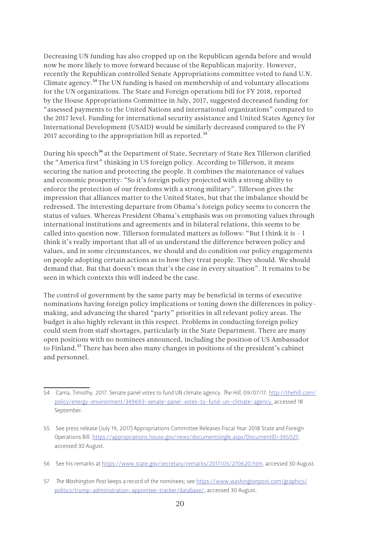Decreasing UN funding has also cropped up on the Republican agenda before and would now be more likely to move forward because of the Republican majority. However, recently the Republican controlled Senate Appropriations committee voted to fund U.N. Climate agency.<sup>54</sup> The UN funding is based on membership of and voluntary allocations for the UN organizations. The State and Foreign operations bill for FY 2018, reported by the House Appropriations Committee in July, 2017, suggested decreased funding for "assessed payments to the United Nations and international organizations" compared to the 2017 level. Funding for international security assistance and United States Agency for International Development (USAID) would be similarly decreased compared to the FY 2017 according to the appropriation bill as reported.<sup>55</sup>

During his speech<sup>56</sup> at the Department of State, Secretary of State Rex Tillerson clarified the "America first" thinking in US foreign policy. According to Tillerson, it means securing the nation and protecting the people. It combines the maintenance of values and economic prosperity: "So it's foreign policy projected with a strong ability to enforce the protection of our freedoms with a strong military". Tillerson gives the impression that alliances matter to the United States, but that the imbalance should be redressed. The interesting departure from Obama's foreign policy seems to concern the status of values. Whereas President Obama's emphasis was on promoting values through international institutions and agreements and in bilateral relations, this seems to be called into question now. Tillerson formulated matters as follows: "But I think it is – I think it's really important that all of us understand the difference between policy and values, and in some circumstances, we should and do condition our policy engagements on people adopting certain actions as to how they treat people. They should. We should demand that. But that doesn't mean that's the case in every situation". It remains to be seen in which contexts this will indeed be the case.

The control of government by the same party may be beneficial in terms of executive nominations having foreign policy implications or toning down the differences in policymaking, and advancing the shared "party" priorities in all relevant policy areas. The budget is also highly relevant in this respect. Problems in conducting foreign policy could stem from staff shortages, particularly in the State Department. There are many open positions with no nominees announced, including the position of US Ambassador to Finland.<sup>57</sup> There has been also many changes in positions of the president's cabinet and personnel.

<sup>54</sup> Cama, Timothy. 2017. Senate panel votes to fund UN climate agency. *The Hill*, 09/07/17. http://thehill.com/ policy/energy-environment/349693-senate-panel-votes-to-fund-un-climate-agency, accessed 18 September.

<sup>55</sup> See press release (July 19, 2017) Appropriations Committee Releases Fiscal Year 2018 State and Foreign Operations Bill. https://appropriations.house.gov/news/documentsingle.aspx?DocumentID=395027, accessed 30 August.

<sup>56</sup> See his remarks at <https://www.state.gov/secretary/remarks/2017/05/270620.htm>, accessed 30 August.

<sup>57</sup> *The Washington Post* keeps a record of the nominees; see [https://www.washingtonpost.com/graphics/](https://www.washingtonpost.com/graphics/politics/trump-administration-appointee-tracker/database/) [politics/trump-administration-appointee-tracker/database/](https://www.washingtonpost.com/graphics/politics/trump-administration-appointee-tracker/database/), accessed 30 August.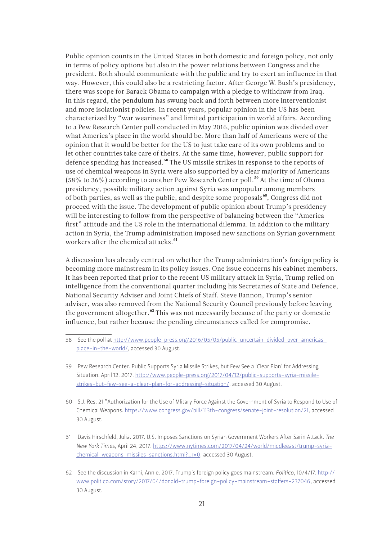Public opinion counts in the United States in both domestic and foreign policy, not only in terms of policy options but also in the power relations between Congress and the president. Both should communicate with the public and try to exert an influence in that way. However, this could also be a restricting factor. After George W. Bush's presidency, there was scope for Barack Obama to campaign with a pledge to withdraw from Iraq. In this regard, the pendulum has swung back and forth between more interventionist and more isolationist policies. In recent years, popular opinion in the US has been characterized by "war weariness" and limited participation in world affairs. According to a Pew Research Center poll conducted in May 2016, public opinion was divided over what America's place in the world should be. More than half of Americans were of the opinion that it would be better for the US to just take care of its own problems and to let other countries take care of theirs. At the same time, however, public support for defence spending has increased.<sup>58</sup> The US missile strikes in response to the reports of use of chemical weapons in Syria were also supported by a clear majority of Americans (58% to 36%) according to another Pew Research Center poll.<sup>59</sup> At the time of Obama presidency, possible military action against Syria was unpopular among members of both parties, as well as the public, and despite some proposals<sup>60</sup>, Congress did not proceed with the issue. The development of public opinion about Trump's presidency will be interesting to follow from the perspective of balancing between the "America first" attitude and the US role in the international dilemma. In addition to the military action in Syria, the Trump administration imposed new sanctions on Syrian government workers after the chemical attacks.<sup>61</sup>

A discussion has already centred on whether the Trump administration's foreign policy is becoming more mainstream in its policy issues. One issue concerns his cabinet members. It has been reported that prior to the recent US military attack in Syria, Trump relied on intelligence from the conventional quarter including his Secretaries of State and Defence, National Security Adviser and Joint Chiefs of Staff. Steve Bannon, Trump's senior adviser, was also removed from the National Security Council previously before leaving the government altogether.<sup>62</sup> This was not necessarily because of the party or domestic influence, but rather because the pending circumstances called for compromise.

<sup>58</sup> See the poll at [http://www.people-press.org/2016/05/05/public-uncertain-divided-over-americas](http://www.people-press.org/2016/05/05/public-uncertain-divided-over-americas-place-in-the-world/)[place-in-the-world/](http://www.people-press.org/2016/05/05/public-uncertain-divided-over-americas-place-in-the-world/), accessed 30 August.

<sup>59</sup> Pew Research Center. Public Supports Syria Missile Strikes, but Few See a 'Clear Plan' for Addressing Situation. April 12, 2017. [http://www.people-press.org/2017/04/12/public-supports-syria-missile](http://www.people-press.org/2017/04/12/public-supports-syria-missile-strikes-but-few-see-a-clear-plan-for-addressing-situation/)[strikes-but-few-see-a-clear-plan-for-addressing-situation/](http://www.people-press.org/2017/04/12/public-supports-syria-missile-strikes-but-few-see-a-clear-plan-for-addressing-situation/), accessed 30 August.

<sup>60</sup> S.J. Res. 21 "Authorization for the Use of Mlitary Force Against the Government of Syria to Respond to Use of Chemical Weapons. https://www.congress.gov/bill/113th-congress/senate-joint-resolution/21, accessed 30 August.

<sup>61</sup> Davis Hirschfeld, Julia. 2017. U.S. Imposes Sanctions on Syrian Government Workers After Sarin Attack. *The New York Times*, April 24, 2017. [https://www.nytimes.com/2017/04/24/world/middleeast/trump-syria](https://www.nytimes.com/2017/04/24/world/middleeast/trump-syria-chemical-weapons-missiles-sanctions.html?_r=0)[chemical-weapons-missiles-sanctions.html?\\_r=0](https://www.nytimes.com/2017/04/24/world/middleeast/trump-syria-chemical-weapons-missiles-sanctions.html?_r=0), accessed 30 August.

<sup>62</sup> See the discussion in Karni, Annie. 2017. Trump's foreign policy goes mainstream. *Politico*, 10/4/17. [http://](http://www.politico.com/story/2017/04/donald-trump-foreign-policy-mainstream-staffers-237046) [www.politico.com/story/2017/04/donald-trump-foreign-policy-mainstream-staffers-237046,](http://www.politico.com/story/2017/04/donald-trump-foreign-policy-mainstream-staffers-237046) accessed 30 August.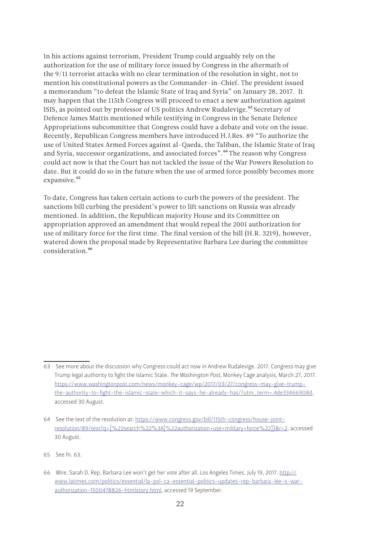<span id="page-21-0"></span>In his actions against terrorism, President Trump could arguably rely on the authorization for the use of military force issued by Congress in the aftermath of the 9/11 terrorist attacks with no clear termination of the resolution in sight, not to mention his constitutional powers as the Commander-in-Chief. The president issued a memorandum "to defeat the Islamic State of Iraq and Syria" on January 28, 2017. It may happen that the 115th Congress will proceed to enact a new authorization against ISIS, as pointed out by professor of US politics Andrew Rudalevige.<sup>63</sup> Secretary of Defence James Mattis mentioned while testifying in Congress in the Senate Defence Appropriations subcommittee that Congress could have a debate and vote on the issue. Recently, Republican Congress members have introduced H.J.Res. 89 "To authorize the use of United States Armed Forces against al-Qaeda, the Taliban, the Islamic State of Iraq and Syria, successor organizations, and associated forces".<sup>64</sup> The reason why Congress could act now is that the Court has not tackled the issue of the War Powers Resolution to date. But it could do so in the future when the use of armed force possibly becomes more expansive.<sup>65</sup>

To date, Congress has taken certain actions to curb the powers of the president. The sanctions bill curbing the president's power to lift sanctions on Russia was already mentioned. In addition, the Republican majority House and its Committee on appropriation approved an amendment that would repeal the 2001 authorization for use of military force for the first time. The final version of the bill (H.R. 3219), however, watered down the proposal made by Representative Barbara Lee during the committee consideration 66

<sup>63</sup> See more about the discussion why Congress could act now in Andrew Rudalevige. 2017. Congress may give Trump legal authority to fight the Islamic State. *The Washington Post*, Monkey Cage analysis, March 27, 2017. https://www.washingtonpost.com/news/monkey-cage/wp/2017/03/27/congress-may-give-trumpthe-authority-to-fight-the-islamic-state-which-it-says-he-already-has/?utm\_term=.4de33466908d, accessed 30 August.

<sup>64</sup> See the text of the resolution at: [https://www.congress.gov/bill/115th-congress/house-joint](https://www.congress.gov/bill/115th-congress/house-joint-resolution/89/text?q=%7b%22search%22%3A%5b%22authorization+use+military+force%22%5d%7d&r=2)[resolution/89/text?q={%22search%22%3A\[%22authorization+use+military+force%22\]}&r=2](https://www.congress.gov/bill/115th-congress/house-joint-resolution/89/text?q=%7b%22search%22%3A%5b%22authorization+use+military+force%22%5d%7d&r=2), accessed 30 August.

<sup>65</sup> See fn. 63.

<sup>66</sup> Wire, Sarah D. Rep. Barbara Lee won't get her vote after all. Los Angeles Times, July 19, 2017. [http://](http://www.latimes.com/politics/essential/la-pol-ca-essential-politics-updates-rep-barbara-lee-s-war-authorization-1500478826-htmlstory.html) [www.latimes.com/politics/essential/la-pol-ca-essential-politics-updates-rep-barbara-lee-s-war](http://www.latimes.com/politics/essential/la-pol-ca-essential-politics-updates-rep-barbara-lee-s-war-authorization-1500478826-htmlstory.html)[authorization-1500478826-htmlstory.html,](http://www.latimes.com/politics/essential/la-pol-ca-essential-politics-updates-rep-barbara-lee-s-war-authorization-1500478826-htmlstory.html) accessed 19 September.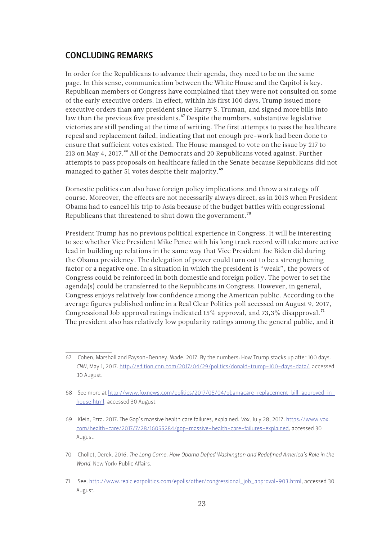# CONCLUDING REMARKS

In order for the Republicans to advance their agenda, they need to be on the same page. In this sense, communication between the White House and the Capitol is key. Republican members of Congress have complained that they were not consulted on some of the early executive orders. In effect, within his first 100 days, Trump issued more executive orders than any president since Harry S. Truman, and signed more bills into law than the previous five presidents.<sup>67</sup> Despite the numbers, substantive legislative victories are still pending at the time of writing. The first attempts to pass the healthcare repeal and replacement failed, indicating that not enough pre-work had been done to ensure that sufficient votes existed. The House managed to vote on the issue by 217 to 213 on May 4, 2017.<sup>68</sup> All of the Democrats and 20 Republicans voted against. Further attempts to pass proposals on healthcare failed in the Senate because Republicans did not managed to gather 51 votes despite their majority.<sup>69</sup>

Domestic politics can also have foreign policy implications and throw a strategy off course. Moreover, the effects are not necessarily always direct, as in 2013 when President Obama had to cancel his trip to Asia because of the budget battles with congressional Republicans that threatened to shut down the government.70

President Trump has no previous political experience in Congress. It will be interesting to see whether Vice President Mike Pence with his long track record will take more active lead in building up relations in the same way that Vice President Joe Biden did during the Obama presidency. The delegation of power could turn out to be a strengthening factor or a negative one. In a situation in which the president is "weak", the powers of Congress could be reinforced in both domestic and foreign policy. The power to set the agenda(s) could be transferred to the Republicans in Congress. However, in general, Congress enjoys relatively low confidence among the American public. According to the average figures published online in a Real Clear Politics poll accessed on August 9, 2017, Congressional Job approval ratings indicated 15% approval, and 73.3% disapproval.<sup>71</sup> The president also has relatively low popularity ratings among the general public, and it

<sup>67</sup> Cohen, Marshall and Payson-Denney, Wade. 2017. By the numbers: How Trump stacks up after 100 days. *CNN*, May 1, 2017. [http://edition.cnn.com/2017/04/29/politics/donald-trump-100-days-data/,](http://edition.cnn.com/2017/04/29/politics/donald-trump-100-days-data/) accessed 30 August.

<sup>68</sup> See more at [http://www.foxnews.com/politics/2017/05/04/obamacare-replacement-bill-approved-in](http://www.foxnews.com/politics/2017/05/04/obamacare-replacement-bill-approved-in-house.html)[house.html](http://www.foxnews.com/politics/2017/05/04/obamacare-replacement-bill-approved-in-house.html), accessed 30 August.

<sup>69</sup> Klein, Ezra. 2017. The Gop's massive health care failures, explained. *Vox*, July 28, 2017. https://www.vox. com/health-care/2017/7/28/16055284/gop-massive-health-care-failures-explained, accessed 30 August.

<sup>70</sup> Chollet, Derek. 2016. *The Long Game. How Obama Defied Washington and Redefined America's Role in the World*. New York: Public Affairs.

<sup>71</sup> See, [http://www.realclearpolitics.com/epolls/other/congressional\\_job\\_approval-903.html,](http://www.realclearpolitics.com/epolls/other/congressional_job_approval-903.html) accessed 30 August.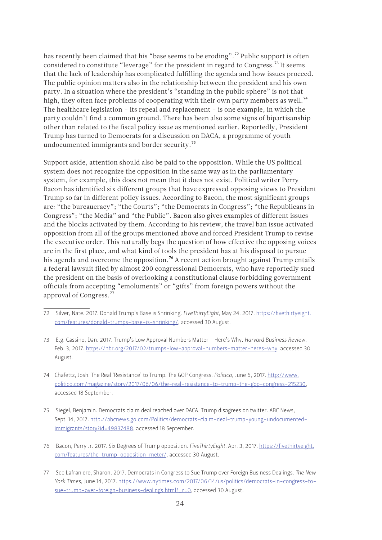has recently been claimed that his "base seems to be eroding".<sup>72</sup> Public support is often considered to constitute "leverage" for the president in regard to Congress.<sup>73</sup> It seems that the lack of leadership has complicated fulfilling the agenda and how issues proceed. The public opinion matters also in the relationship between the president and his own party. In a situation where the president's "standing in the public sphere" is not that high, they often face problems of cooperating with their own party members as well.<sup>74</sup> The healthcare legislation – its repeal and replacement – is one example, in which the party couldn't find a common ground. There has been also some signs of bipartisanship other than related to the fiscal policy issue as mentioned earlier. Reportedly, President Trump has turned to Democrats for a discussion on DACA, a programme of youth undocumented immigrants and border security.75

Support aside, attention should also be paid to the opposition. While the US political system does not recognize the opposition in the same way as in the parliamentary system, for example, this does not mean that it does not exist. Political writer Perry Bacon has identified six different groups that have expressed opposing views to President Trump so far in different policy issues. According to Bacon, the most significant groups are: "the bureaucracy"; "the Courts"; "the Democrats in Congress"; "the Republicans in Congress"; "the Media" and "the Public". Bacon also gives examples of different issues and the blocks activated by them. According to his review, the travel ban issue activated opposition from all of the groups mentioned above and forced President Trump to revise the executive order. This naturally begs the question of how effective the opposing voices are in the first place, and what kind of tools the president has at his disposal to pursue his agenda and overcome the opposition.<sup>76</sup> A recent action brought against Trump entails a federal lawsuit filed by almost 200 congressional Democrats, who have reportedly sued the president on the basis of overlooking a constitutional clause forbidding government officials from accepting "emoluments" or "gifts" from foreign powers without the approval of Congress.77

<sup>72</sup> Silver, Nate. 2017. Donald Trump's Base is Shrinking. *FiveThirtyEight*, May 24, 2017. [https://fivethirtyeight.](https://fivethirtyeight.com/features/donald-trumps-base-is-shrinking/) [com/features/donald-trumps-base-is-shrinking/,](https://fivethirtyeight.com/features/donald-trumps-base-is-shrinking/) accessed 30 August.

<sup>73</sup> E.g. Cassino, Dan. 2017. Trump's Low Approval Numbers Matter – Here's Why. *Harvard Business Review*, Feb. 3, 2017.<https://hbr.org/2017/02/trumps-low-approval-numbers-matter-heres-why>, accessed 30 August.

<sup>74</sup> Chafettz, Josh. The Real 'Resistance' to Trump. The GOP Congress. *Politico*, June 6, 2017. http://www. politico.com/magazine/story/2017/06/06/the-real-resistance-to-trump-the-gop-congress-215230, accessed 18 September.

<sup>75</sup> Siegel, Benjamin. Democrats claim deal reached over DACA, Trump disagrees on twitter. ABC News, Sept. 14, 2017. http://abcnews.go.com/Politics/democrats-claim-deal-trump-young-undocumentedimmigrants/story?id=49837488, accessed 18 September.

<sup>76</sup> Bacon, Perry Jr. 2017. Six Degrees of Trump opposition. *FiveThirtyEight*, Apr. 3, 2017. [https://fivethirtyeight.](https://fivethirtyeight.com/features/the-trump-opposition-meter/) [com/features/the-trump-opposition-meter/,](https://fivethirtyeight.com/features/the-trump-opposition-meter/) accessed 30 August.

<sup>77</sup> See [Lafraniere](file:///\\tursas\upidata$\Common\Communications%20&%20UP\2017%20Publications\wpXX_Anna_United_Government\%20Lafraniere), Sharon. 2017. Democrats in Congress to Sue Trump over Foreign Business Dealings. *The New York Times*, June 14, 2017. [https://www.nytimes.com/2017/06/14/us/politics/democrats-in-congress-to](https://www.nytimes.com/2017/06/14/us/politics/democrats-in-congress-to-sue-trump-over-foreign-business-dealings.html?_r=0)[sue-trump-over-foreign-business-dealings.html?\\_r=0,](https://www.nytimes.com/2017/06/14/us/politics/democrats-in-congress-to-sue-trump-over-foreign-business-dealings.html?_r=0) accessed 30 August.